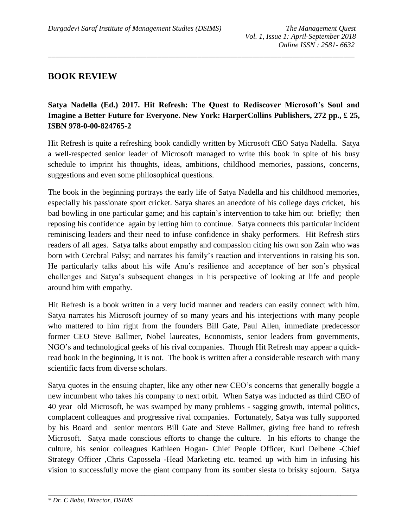## **BOOK REVIEW**

## **Satya Nadella (Ed.) 2017. Hit Refresh: The Quest to Rediscover Microsoft's Soul and Imagine a Better Future for Everyone. New York: HarperCollins Publishers, 272 pp., £ 25, ISBN 978-0-00-824765-2**

\_\_\_\_\_\_\_\_\_\_\_\_\_\_\_\_\_\_\_\_\_\_\_\_\_\_\_\_\_\_\_\_\_\_\_\_\_\_\_\_\_\_\_\_\_\_\_\_\_\_\_\_\_\_\_\_\_\_\_\_\_\_\_\_\_\_\_\_\_\_\_\_\_\_\_\_\_\_\_\_\_\_\_\_

Hit Refresh is quite a refreshing book candidly written by Microsoft CEO Satya Nadella. Satya a well-respected senior leader of Microsoft managed to write this book in spite of his busy schedule to imprint his thoughts, ideas, ambitions, childhood memories, passions, concerns, suggestions and even some philosophical questions.

The book in the beginning portrays the early life of Satya Nadella and his childhood memories, especially his passionate sport cricket. Satya shares an anecdote of his college days cricket, his bad bowling in one particular game; and his captain's intervention to take him out briefly; then reposing his confidence again by letting him to continue. Satya connects this particular incident reminiscing leaders and their need to infuse confidence in shaky performers. Hit Refresh stirs readers of all ages. Satya talks about empathy and compassion citing his own son Zain who was born with Cerebral Palsy; and narrates his family's reaction and interventions in raising his son. He particularly talks about his wife Anu's resilience and acceptance of her son's physical challenges and Satya's subsequent changes in his perspective of looking at life and people around him with empathy.

Hit Refresh is a book written in a very lucid manner and readers can easily connect with him. Satya narrates his Microsoft journey of so many years and his interjections with many people who mattered to him right from the founders Bill Gate, Paul Allen, immediate predecessor former CEO Steve Ballmer, Nobel laureates, Economists, senior leaders from governments, NGO's and technological geeks of his rival companies. Though Hit Refresh may appear a quickread book in the beginning, it is not. The book is written after a considerable research with many scientific facts from diverse scholars.

Satya quotes in the ensuing chapter, like any other new CEO's concerns that generally boggle a new incumbent who takes his company to next orbit. When Satya was inducted as third CEO of 40 year old Microsoft, he was swamped by many problems - sagging growth, internal politics, complacent colleagues and progressive rival companies. Fortunately, Satya was fully supported by his Board and senior mentors Bill Gate and Steve Ballmer, giving free hand to refresh Microsoft. Satya made conscious efforts to change the culture. In his efforts to change the culture, his senior colleagues Kathleen Hogan- Chief People Officer, Kurl Delbene -Chief Strategy Officer ,Chris Capossela -Head Marketing etc. teamed up with him in infusing his vision to successfully move the giant company from its somber siesta to brisky sojourn. Satya

*\_\_\_\_\_\_\_\_\_\_\_\_\_\_\_\_\_\_\_\_\_\_\_\_\_\_\_\_\_\_\_\_\_\_\_\_\_\_\_\_\_\_\_\_\_\_\_\_\_\_\_\_\_\_\_\_\_\_\_\_\_\_\_\_\_\_\_\_\_\_\_\_\_\_\_\_\_\_\_\_\_\_\_\_\_\_\_\_\_\_\_\_\_*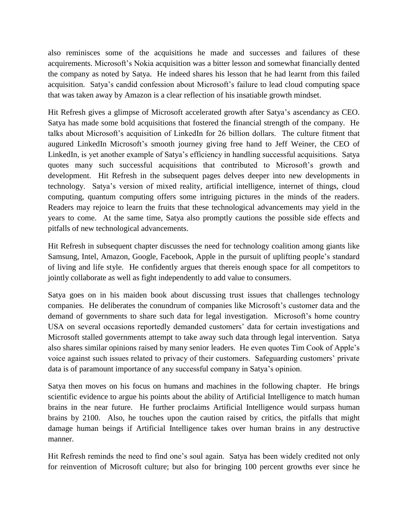also reminisces some of the acquisitions he made and successes and failures of these acquirements. Microsoft's Nokia acquisition was a bitter lesson and somewhat financially dented the company as noted by Satya. He indeed shares his lesson that he had learnt from this failed acquisition. Satya's candid confession about Microsoft's failure to lead cloud computing space that was taken away by Amazon is a clear reflection of his insatiable growth mindset.

Hit Refresh gives a glimpse of Microsoft accelerated growth after Satya's ascendancy as CEO. Satya has made some bold acquisitions that fostered the financial strength of the company. He talks about Microsoft's acquisition of LinkedIn for 26 billion dollars. The culture fitment that augured LinkedIn Microsoft's smooth journey giving free hand to Jeff Weiner, the CEO of LinkedIn, is yet another example of Satya's efficiency in handling successful acquisitions. Satya quotes many such successful acquisitions that contributed to Microsoft's growth and development. Hit Refresh in the subsequent pages delves deeper into new developments in technology. Satya's version of mixed reality, artificial intelligence, internet of things, cloud computing, quantum computing offers some intriguing pictures in the minds of the readers. Readers may rejoice to learn the fruits that these technological advancements may yield in the years to come. At the same time, Satya also promptly cautions the possible side effects and pitfalls of new technological advancements.

Hit Refresh in subsequent chapter discusses the need for technology coalition among giants like Samsung, Intel, Amazon, Google, Facebook, Apple in the pursuit of uplifting people's standard of living and life style. He confidently argues that thereis enough space for all competitors to jointly collaborate as well as fight independently to add value to consumers.

Satya goes on in his maiden book about discussing trust issues that challenges technology companies. He deliberates the conundrum of companies like Microsoft's customer data and the demand of governments to share such data for legal investigation. Microsoft's home country USA on several occasions reportedly demanded customers' data for certain investigations and Microsoft stalled governments attempt to take away such data through legal intervention. Satya also shares similar opinions raised by many senior leaders. He even quotes Tim Cook of Apple's voice against such issues related to privacy of their customers. Safeguarding customers' private data is of paramount importance of any successful company in Satya's opinion.

Satya then moves on his focus on humans and machines in the following chapter. He brings scientific evidence to argue his points about the ability of Artificial Intelligence to match human brains in the near future. He further proclaims Artificial Intelligence would surpass human brains by 2100. Also, he touches upon the caution raised by critics, the pitfalls that might damage human beings if Artificial Intelligence takes over human brains in any destructive manner.

Hit Refresh reminds the need to find one's soul again. Satya has been widely credited not only for reinvention of Microsoft culture; but also for bringing 100 percent growths ever since he